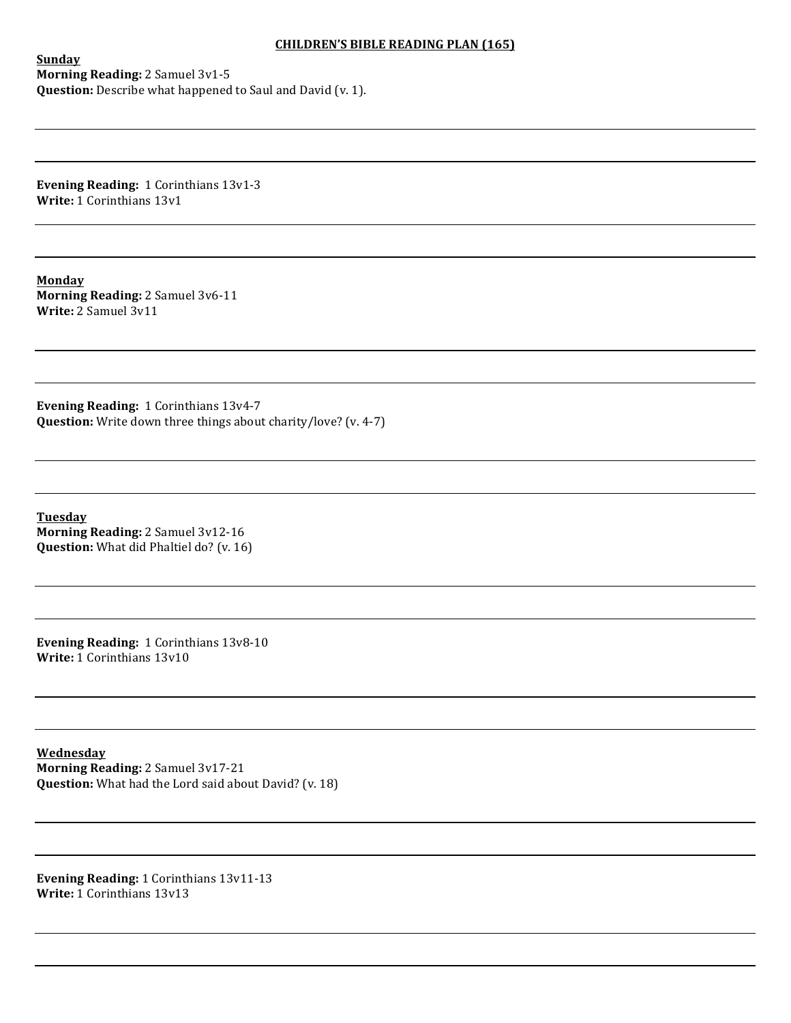## **CHILDREN'S BIBLE READING PLAN (165)**

**Sunday Morning Reading: 2 Samuel 3v1-5 Question:** Describe what happened to Saul and David (v. 1).

**Evening Reading: 1 Corinthians 13v1-3 Write:** 1 Corinthians 13v1

**Monday Morning Reading: 2 Samuel 3v6-11 Write:** 2 Samuel 3v11

**Evening Reading: 1 Corinthians 13v4-7 Question:** Write down three things about charity/love? (v. 4-7)

**Tuesday Morning Reading:** 2 Samuel 3v12-16 **Question:** What did Phaltiel do? (v. 16)

**Evening Reading:** 1 Corinthians 13v8-10 **Write:** 1 Corinthians 13v10

**Wednesday Morning Reading:** 2 Samuel 3v17-21 **Question:** What had the Lord said about David? (v. 18)

**Evening Reading:** 1 Corinthians 13v11-13 **Write: 1 Corinthians 13v13**